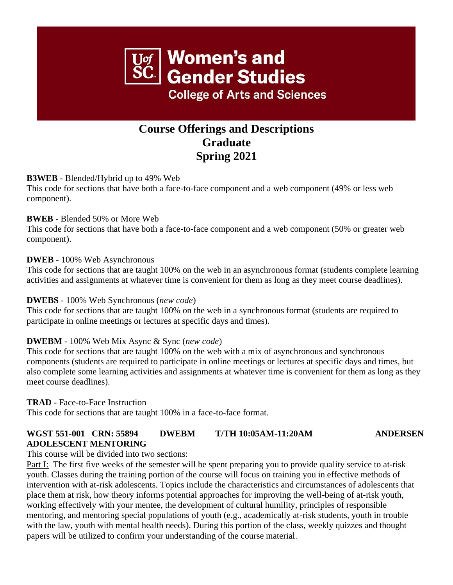# **Women's and Gender Studies College of Arts and Sciences**

## **Course Offerings and Descriptions Graduate Spring 2021**

#### **B3WEB** - Blended/Hybrid up to 49% Web

This code for sections that have both a face-to-face component and a web component (49% or less web component).

#### **BWEB** - Blended 50% or More Web

This code for sections that have both a face-to-face component and a web component (50% or greater web component).

#### **DWEB** - 100% Web Asynchronous

This code for sections that are taught 100% on the web in an asynchronous format (students complete learning activities and assignments at whatever time is convenient for them as long as they meet course deadlines).

#### **DWEBS** - 100% Web Synchronous (*new code*)

This code for sections that are taught 100% on the web in a synchronous format (students are required to participate in online meetings or lectures at specific days and times).

#### **DWEBM** - 100% Web Mix Async & Sync (*new code*)

This code for sections that are taught 100% on the web with a mix of asynchronous and synchronous components (students are required to participate in online meetings or lectures at specific days and times, but also complete some learning activities and assignments at whatever time is convenient for them as long as they meet course deadlines).

#### **TRAD** - Face-to-Face Instruction

This code for sections that are taught 100% in a face-to-face format.

### **WGST 551-001 CRN: 55894 DWEBM T/TH 10:05AM-11:20AM ANDERSEN ADOLESCENT MENTORING**

This course will be divided into two sections:

Part I: The first five weeks of the semester will be spent preparing you to provide quality service to at-risk youth. Classes during the training portion of the course will focus on training you in effective methods of intervention with at-risk adolescents. Topics include the characteristics and circumstances of adolescents that place them at risk, how theory informs potential approaches for improving the well-being of at-risk youth, working effectively with your mentee, the development of cultural humility, principles of responsible mentoring, and mentoring special populations of youth (e.g., academically at-risk students, youth in trouble with the law, youth with mental health needs). During this portion of the class, weekly quizzes and thought papers will be utilized to confirm your understanding of the course material.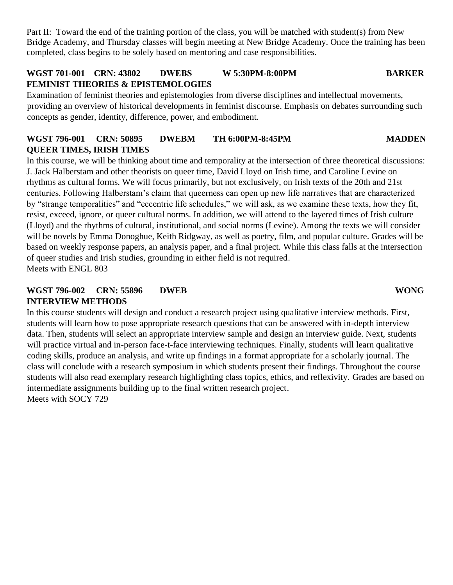Part II: Toward the end of the training portion of the class, you will be matched with student(s) from New Bridge Academy, and Thursday classes will begin meeting at New Bridge Academy. Once the training has been completed, class begins to be solely based on mentoring and case responsibilities.

#### **WGST 701-001 CRN: 43802 DWEBS W 5:30PM-8:00PM BARKER FEMINIST THEORIES & EPISTEMOLOGIES**

Examination of feminist theories and epistemologies from diverse disciplines and intellectual movements, providing an overview of historical developments in feminist discourse. Emphasis on debates surrounding such concepts as gender, identity, difference, power, and embodiment.

#### **WGST 796-001 CRN: 50895 DWEBM TH 6:00PM-8:45PM MADDEN QUEER TIMES, IRISH TIMES**

In this course, we will be thinking about time and temporality at the intersection of three theoretical discussions: J. Jack Halberstam and other theorists on queer time, David Lloyd on Irish time, and Caroline Levine on rhythms as cultural forms. We will focus primarily, but not exclusively, on Irish texts of the 20th and 21st centuries. Following Halberstam's claim that queerness can open up new life narratives that are characterized by "strange temporalities" and "eccentric life schedules," we will ask, as we examine these texts, how they fit, resist, exceed, ignore, or queer cultural norms. In addition, we will attend to the layered times of Irish culture (Lloyd) and the rhythms of cultural, institutional, and social norms (Levine). Among the texts we will consider will be novels by Emma Donoghue, Keith Ridgway, as well as poetry, film, and popular culture. Grades will be based on weekly response papers, an analysis paper, and a final project. While this class falls at the intersection of queer studies and Irish studies, grounding in either field is not required. Meets with ENGL 803

#### **WGST 796-002 CRN: 55896 DWEB WONG INTERVIEW METHODS**

In this course students will design and conduct a research project using qualitative interview methods. First, students will learn how to pose appropriate research questions that can be answered with in-depth interview data. Then, students will select an appropriate interview sample and design an interview guide. Next, students will practice virtual and in-person face-t-face interviewing techniques. Finally, students will learn qualitative coding skills, produce an analysis, and write up findings in a format appropriate for a scholarly journal. The class will conclude with a research symposium in which students present their findings. Throughout the course students will also read exemplary research highlighting class topics, ethics, and reflexivity. Grades are based on intermediate assignments building up to the final written research project. Meets with SOCY 729